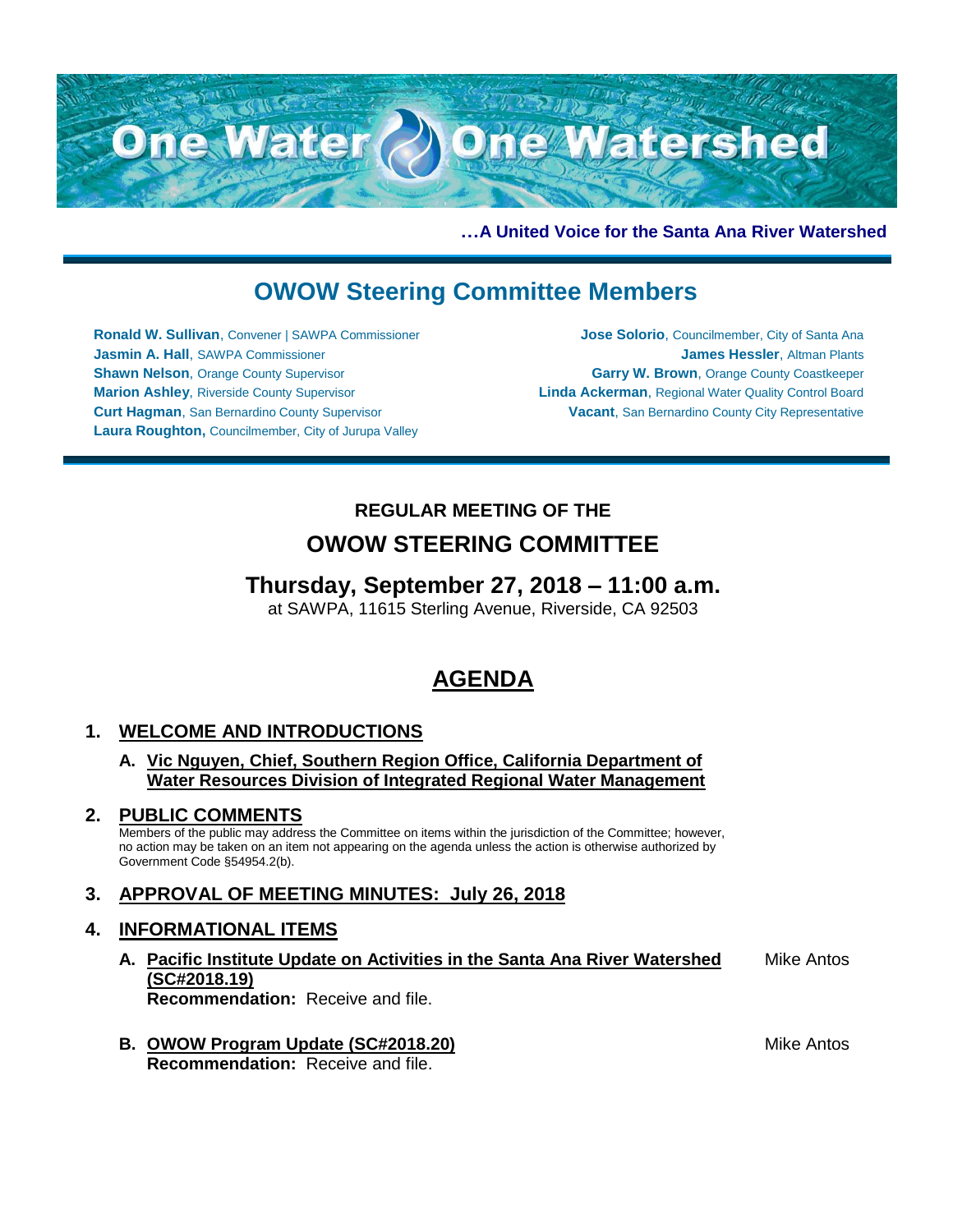

**…A United Voice for the Santa Ana River Watershed**

## **OWOW Steering Committee Members**

**Ronald W. Sullivan**, Convener | SAWPA Commissioner **Jasmin A. Hall**, SAWPA Commissioner **Shawn Nelson, Orange County Supervisor Marion Ashley**, Riverside County Supervisor **Curt Hagman**, San Bernardino County Supervisor **Laura Roughton,** Councilmember, City of Jurupa Valley

**Jose Solorio**, Councilmember, City of Santa Ana **James Hessler**, Altman Plants **Garry W. Brown**, Orange County Coastkeeper **Linda Ackerman**, Regional Water Quality Control Board **Vacant**, San Bernardino County City Representative

# **REGULAR MEETING OF THE**

## **OWOW STEERING COMMITTEE**

## **Thursday, September 27, 2018 – 11:00 a.m.**

at SAWPA, 11615 Sterling Avenue, Riverside, CA 92503

## **AGENDA**

### **1. WELCOME AND INTRODUCTIONS**

#### **A. Vic Nguyen, Chief, Southern Region Office, California Department of Water Resources Division of Integrated Regional Water Management**

### **2. PUBLIC COMMENTS**

Members of the public may address the Committee on items within the jurisdiction of the Committee; however, no action may be taken on an item not appearing on the agenda unless the action is otherwise authorized by Government Code §54954.2(b).

### **3. APPROVAL OF MEETING MINUTES: July 26, 2018**

### **4. INFORMATIONAL ITEMS**

- **A. Pacific Institute Update on Activities in the Santa Ana River Watershed (SC#2018.19) Recommendation:** Receive and file. Mike Antos
- **B. OWOW Program Update (SC#2018.20) Recommendation:** Receive and file.

Mike Antos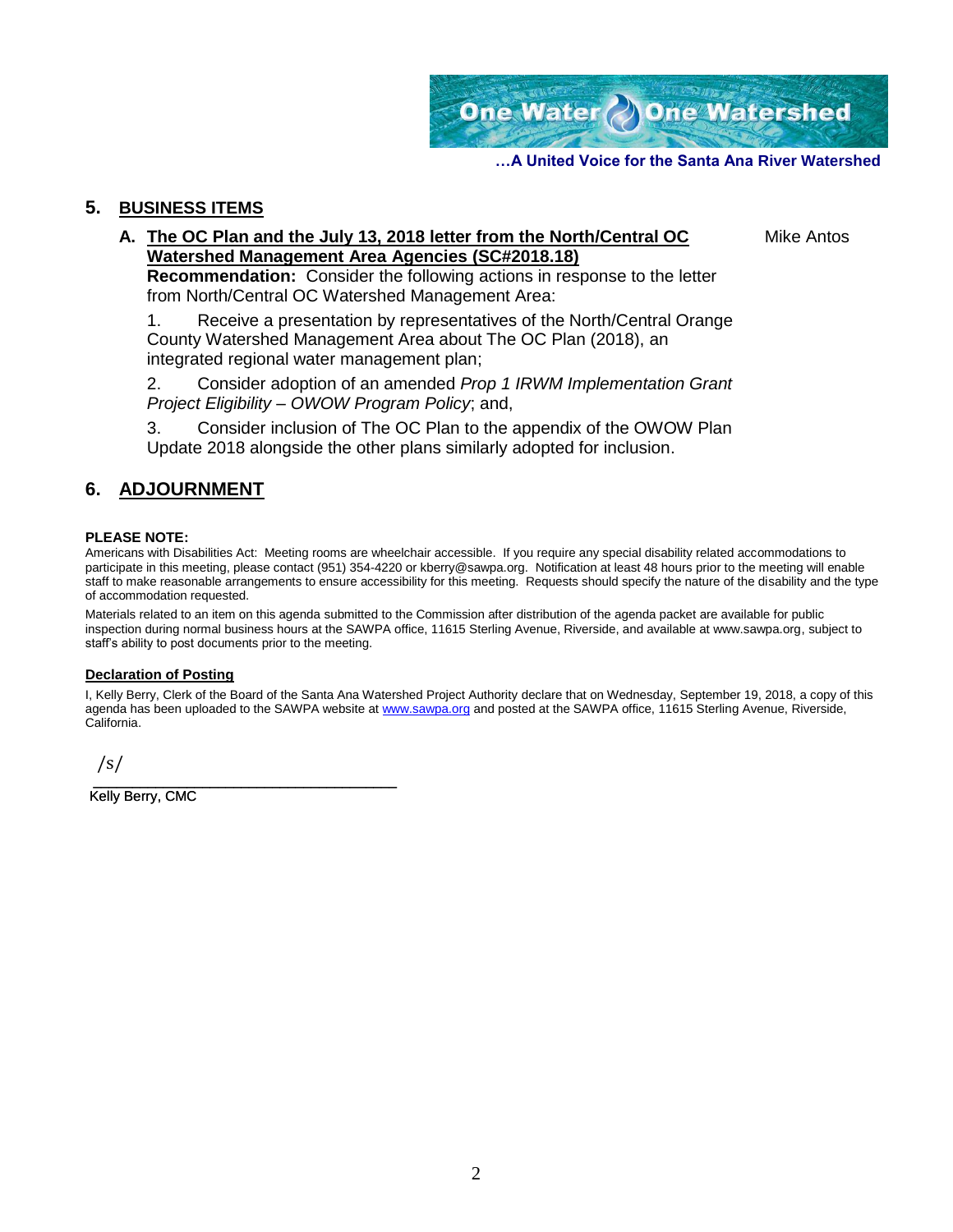One Water Done Watershed

**…A United Voice for the Santa Ana River Watershed**

#### **5. BUSINESS ITEMS**

#### **A. The OC Plan and the July 13, 2018 letter from the North/Central OC Watershed Management Area Agencies (SC#2018.18)**

Mike Antos

**Recommendation:** Consider the following actions in response to the letter from North/Central OC Watershed Management Area:

1. Receive a presentation by representatives of the North/Central Orange County Watershed Management Area about The OC Plan (2018), an integrated regional water management plan;

2. Consider adoption of an amended *Prop 1 IRWM Implementation Grant Project Eligibility – OWOW Program Policy*; and,

3. Consider inclusion of The OC Plan to the appendix of the OWOW Plan Update 2018 alongside the other plans similarly adopted for inclusion.

#### **6. ADJOURNMENT**

#### **PLEASE NOTE:**

Americans with Disabilities Act: Meeting rooms are wheelchair accessible. If you require any special disability related accommodations to participate in this meeting, please contact (951) 354-4220 or kberry@sawpa.org. Notification at least 48 hours prior to the meeting will enable staff to make reasonable arrangements to ensure accessibility for this meeting. Requests should specify the nature of the disability and the type of accommodation requested.

Materials related to an item on this agenda submitted to the Commission after distribution of the agenda packet are available for public inspection during normal business hours at the SAWPA office, 11615 Sterling Avenue, Riverside, and available at www.sawpa.org, subject to staff's ability to post documents prior to the meeting.

#### **Declaration of Posting**

I, Kelly Berry, Clerk of the Board of the Santa Ana Watershed Project Authority declare that on Wednesday, September 19, 2018, a copy of this agenda has been uploaded to the SAWPA website a[t www.sawpa.org](http://www.sawpa.org/) and posted at the SAWPA office, 11615 Sterling Avenue, Riverside, California.

/s/

\_\_\_\_\_\_\_\_\_\_\_\_\_\_\_\_\_\_\_\_\_\_\_\_\_\_\_\_\_\_\_\_\_\_\_\_\_\_\_ Kelly Berry, CMC